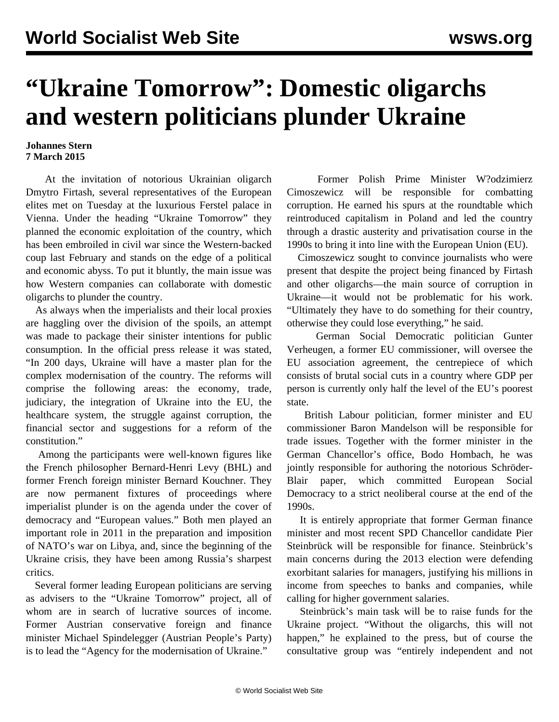## **"Ukraine Tomorrow": Domestic oligarchs and western politicians plunder Ukraine**

## **Johannes Stern 7 March 2015**

 At the invitation of notorious Ukrainian oligarch Dmytro Firtash, several representatives of the European elites met on Tuesday at the luxurious Ferstel palace in Vienna. Under the heading "Ukraine Tomorrow" they planned the economic exploitation of the country, which has been embroiled in civil war since the Western-backed coup last February and stands on the edge of a political and economic abyss. To put it bluntly, the main issue was how Western companies can collaborate with domestic oligarchs to plunder the country.

 As always when the imperialists and their local proxies are haggling over the division of the spoils, an attempt was made to package their sinister intentions for public consumption. In the official press release it was stated, "In 200 days, Ukraine will have a master plan for the complex modernisation of the country. The reforms will comprise the following areas: the economy, trade, judiciary, the integration of Ukraine into the EU, the healthcare system, the struggle against corruption, the financial sector and suggestions for a reform of the constitution."

 Among the participants were well-known figures like the French philosopher Bernard-Henri Levy (BHL) and former French foreign minister Bernard Kouchner. They are now permanent fixtures of proceedings where imperialist plunder is on the agenda under the cover of democracy and "European values." Both men played an important role in 2011 in the preparation and imposition of NATO's war on Libya, and, since the beginning of the Ukraine crisis, they have been among Russia's sharpest critics.

 Several former leading European politicians are serving as advisers to the "Ukraine Tomorrow" project, all of whom are in search of lucrative sources of income. Former Austrian conservative foreign and finance minister Michael Spindelegger (Austrian People's Party) is to lead the "Agency for the modernisation of Ukraine."

 Former Polish Prime Minister W?odzimierz Cimoszewicz will be responsible for combatting corruption. He earned his spurs at the roundtable which reintroduced capitalism in Poland and led the country through a drastic austerity and privatisation course in the 1990s to bring it into line with the European Union (EU).

 Cimoszewicz sought to convince journalists who were present that despite the project being financed by Firtash and other oligarchs—the main source of corruption in Ukraine—it would not be problematic for his work. "Ultimately they have to do something for their country, otherwise they could lose everything," he said.

 German Social Democratic politician Gunter Verheugen, a former EU commissioner, will oversee the EU association agreement, the centrepiece of which consists of brutal social cuts in a country where GDP per person is currently only half the level of the EU's poorest state.

 British Labour politician, former minister and EU commissioner Baron Mandelson will be responsible for trade issues. Together with the former minister in the German Chancellor's office, Bodo Hombach, he was jointly responsible for authoring the notorious Schröder-Blair paper, which committed European Social Democracy to a strict neoliberal course at the end of the 1990s.

 It is entirely appropriate that former German finance minister and most recent SPD Chancellor candidate Pier Steinbrück will be responsible for finance. Steinbrück's main concerns during the 2013 election were defending exorbitant salaries for managers, justifying his millions in income from speeches to banks and companies, while calling for higher government salaries.

 Steinbrück's main task will be to raise funds for the Ukraine project. "Without the oligarchs, this will not happen," he explained to the press, but of course the consultative group was "entirely independent and not